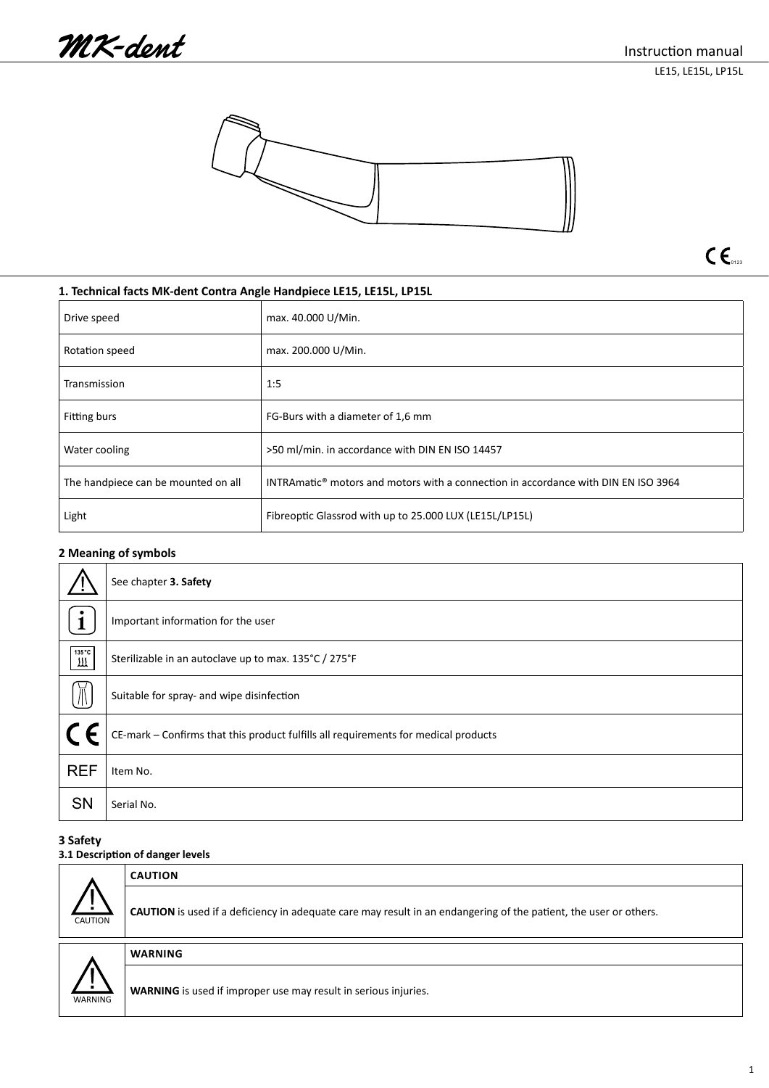LE15, LE15L, LP15L





 $C\epsilon$ <sub>0123</sub>

# **1. Technical facts MK-dent Contra Angle Handpiece LE15, LE15L, LP15L**

| Drive speed                         | max. 40.000 U/Min.                                                                             |
|-------------------------------------|------------------------------------------------------------------------------------------------|
| Rotation speed                      | max. 200.000 U/Min.                                                                            |
| Transmission                        | 1:5                                                                                            |
| Fitting burs                        | FG-Burs with a diameter of 1.6 mm                                                              |
| Water cooling                       | >50 ml/min. in accordance with DIN EN ISO 14457                                                |
| The handpiece can be mounted on all | INTRAmatic <sup>®</sup> motors and motors with a connection in accordance with DIN EN ISO 3964 |
| Light                               | Fibreoptic Glassrod with up to 25.000 LUX (LE15L/LP15L)                                        |

# **2 Meaning of symbols**

|                          | See chapter 3. Safety                                                               |
|--------------------------|-------------------------------------------------------------------------------------|
|                          | Important information for the user                                                  |
| 135 °C<br>$\overline{m}$ | Sterilizable in an autoclave up to max. 135°C / 275°F                               |
| $\overline{\mathbb{R}}$  | Suitable for spray- and wipe disinfection                                           |
|                          | CE-mark - Confirms that this product fulfills all requirements for medical products |
| <b>REF</b>               | Item No.                                                                            |
| SN                       | Serial No.                                                                          |

# **3 Safety**

# **3.1 Description of danger levels**

|                | <b>CAUTION</b>                                                                                                    |  |
|----------------|-------------------------------------------------------------------------------------------------------------------|--|
| <b>CAUTION</b> | CAUTION is used if a deficiency in adequate care may result in an endangering of the patient, the user or others. |  |
|                | <b>WARNING</b>                                                                                                    |  |
| WARNING        | <b>WARNING</b> is used if improper use may result in serious injuries.                                            |  |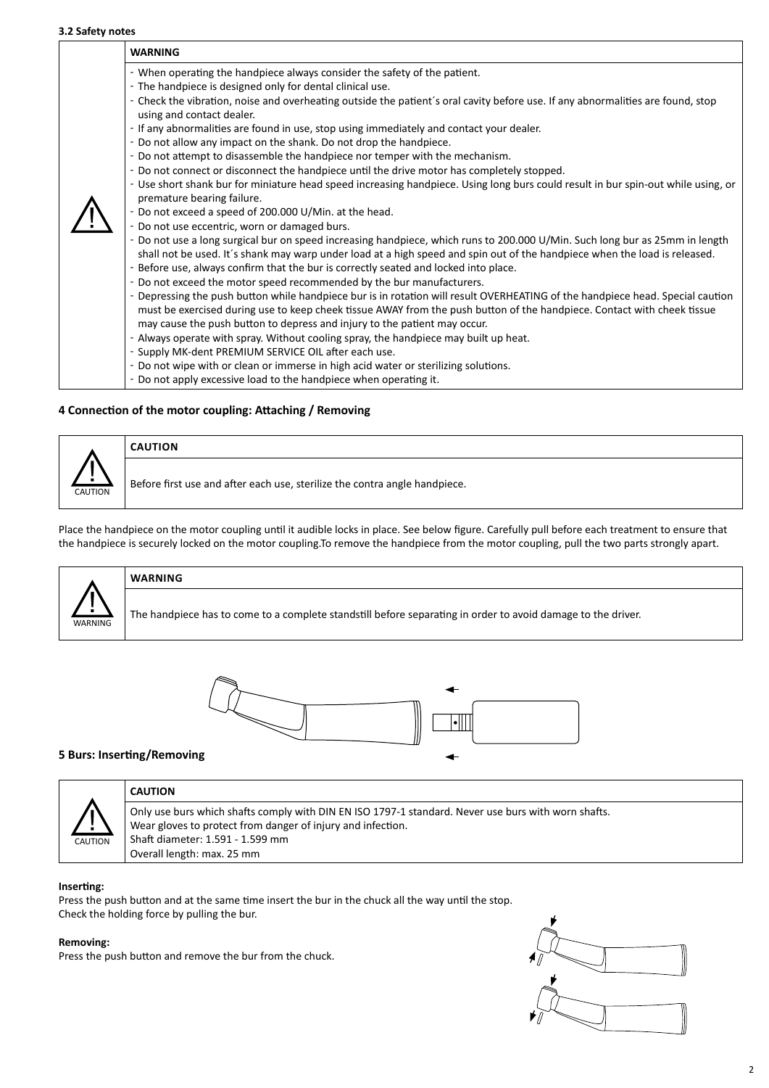## **3.2 Safety notes**

| <b>WARNING</b>                                                                                                                                                                                                                                                                                                                         |
|----------------------------------------------------------------------------------------------------------------------------------------------------------------------------------------------------------------------------------------------------------------------------------------------------------------------------------------|
| - When operating the handpiece always consider the safety of the patient.                                                                                                                                                                                                                                                              |
| - The handpiece is designed only for dental clinical use.                                                                                                                                                                                                                                                                              |
| - Check the vibration, noise and overheating outside the patient's oral cavity before use. If any abnormalities are found, stop<br>using and contact dealer.                                                                                                                                                                           |
| - If any abnormalities are found in use, stop using immediately and contact your dealer.                                                                                                                                                                                                                                               |
| - Do not allow any impact on the shank. Do not drop the handpiece.                                                                                                                                                                                                                                                                     |
| - Do not attempt to disassemble the handpiece nor temper with the mechanism.                                                                                                                                                                                                                                                           |
| - Do not connect or disconnect the handpiece until the drive motor has completely stopped.                                                                                                                                                                                                                                             |
| - Use short shank bur for miniature head speed increasing handpiece. Using long burs could result in bur spin-out while using, or<br>premature bearing failure.                                                                                                                                                                        |
| - Do not exceed a speed of 200.000 U/Min. at the head.                                                                                                                                                                                                                                                                                 |
| - Do not use eccentric, worn or damaged burs.                                                                                                                                                                                                                                                                                          |
| - Do not use a long surgical bur on speed increasing handpiece, which runs to 200.000 U/Min. Such long bur as 25mm in length                                                                                                                                                                                                           |
| shall not be used. It's shank may warp under load at a high speed and spin out of the handpiece when the load is released.<br>- Before use, always confirm that the bur is correctly seated and locked into place.                                                                                                                     |
| - Do not exceed the motor speed recommended by the bur manufacturers.                                                                                                                                                                                                                                                                  |
| - Depressing the push button while handpiece bur is in rotation will result OVERHEATING of the handpiece head. Special caution<br>must be exercised during use to keep cheek tissue AWAY from the push button of the handpiece. Contact with cheek tissue<br>may cause the push button to depress and injury to the patient may occur. |
| - Always operate with spray. Without cooling spray, the handpiece may built up heat.                                                                                                                                                                                                                                                   |
| - Supply MK-dent PREMIUM SERVICE OIL after each use.                                                                                                                                                                                                                                                                                   |
| - Do not wipe with or clean or immerse in high acid water or sterilizing solutions.                                                                                                                                                                                                                                                    |
| - Do not apply excessive load to the handpiece when operating it.                                                                                                                                                                                                                                                                      |

# **4 Connection of the motor coupling: Attaching / Removing**



Before first use and after each use, sterilize the contra angle handpiece.

Place the handpiece on the motor coupling until it audible locks in place. See below figure. Carefully pull before each treatment to ensure that the handpiece is securely locked on the motor coupling.To remove the handpiece from the motor coupling, pull the two parts strongly apart.



# **WARNING**

**CAUTION**

The handpiece has to come to a complete standstill before separating in order to avoid damage to the driver.



## **5 Burs: Inserting/Removing**



# **CAUTION**

Only use burs which shafts comply with DIN EN ISO 1797-1 standard. Never use burs with worn shafts. Wear gloves to protect from danger of injury and infection. Shaft diameter: 1.591 - 1.599 mm Overall length: max. 25 mm

## **Inserting:**

Press the push button and at the same time insert the bur in the chuck all the way until the stop. Check the holding force by pulling the bur.

## **Removing:**

Press the push button and remove the bur from the chuck.

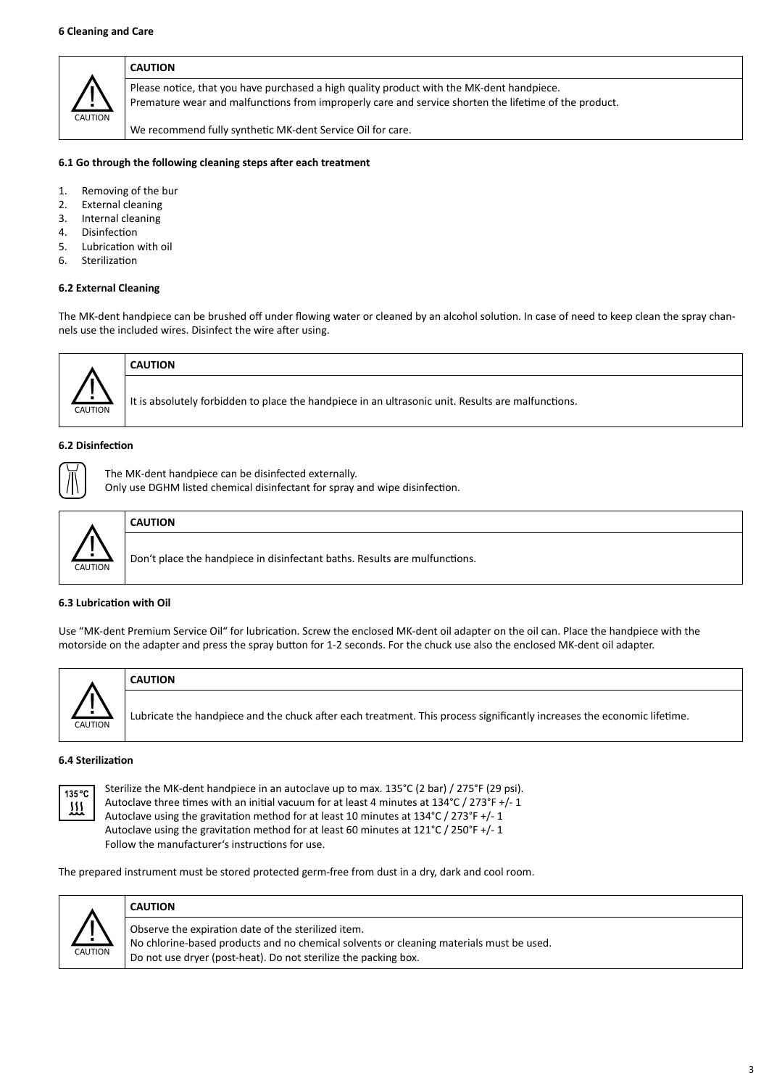

### **CAUTION**

Please notice, that you have purchased a high quality product with the MK-dent handpiece. Premature wear and malfunctions from improperly care and service shorten the lifetime of the product.

We recommend fully synthetic MK-dent Service Oil for care.

#### **6.1 Go through the following cleaning steps after each treatment**

- 1. Removing of the bur
- 2. External cleaning
- 3. Internal cleaning
- 4. Disinfection
- 5. Lubrication with oil
- 6. Sterilization

## **6.2 External Cleaning**

The MK-dent handpiece can be brushed off under flowing water or cleaned by an alcohol solution. In case of need to keep clean the spray channels use the included wires. Disinfect the wire after using.



# **CAUTION**

It is absolutely forbidden to place the handpiece in an ultrasonic unit. Results are malfunctions.

## **6.2 Disinfection**

The MK-dent handpiece can be disinfected externally.

Only use DGHM listed chemical disinfectant for spray and wipe disinfection.



# **CAUTION**

Don't place the handpiece in disinfectant baths. Results are mulfunctions.

## **6.3 Lubrication with Oil**

Use "MK-dent Premium Service Oil" for lubrication. Screw the enclosed MK-dent oil adapter on the oil can. Place the handpiece with the motorside on the adapter and press the spray button for 1-2 seconds. For the chuck use also the enclosed MK-dent oil adapter.



# **CAUTION**

Lubricate the handpiece and the chuck after each treatment. This process significantly increases the economic lifetime.

## **6.4 Sterilization**



Sterilize the MK-dent handpiece in an autoclave up to max. 135°C (2 bar) / 275°F (29 psi). Autoclave three times with an initial vacuum for at least 4 minutes at 134°C / 273°F +/- 1 Autoclave using the gravitation method for at least 10 minutes at 134°C / 273°F +/- 1 Autoclave using the gravitation method for at least 60 minutes at 121°C / 250°F +/- 1 Follow the manufacturer's instructions for use.

The prepared instrument must be stored protected germ-free from dust in a dry, dark and cool room.



# **CAUTION**

Observe the expiration date of the sterilized item. No chlorine-based products and no chemical solvents or cleaning materials must be used. Do not use dryer (post-heat). Do not sterilize the packing box.